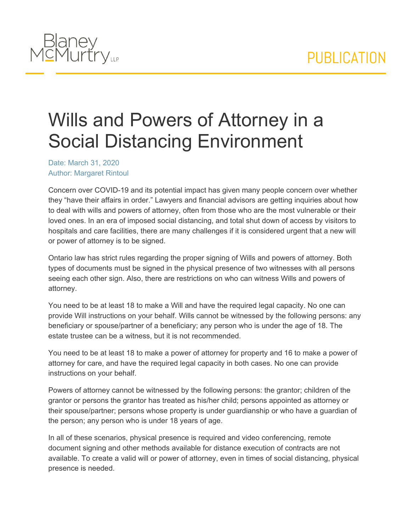

## Wills and Powers of Attorney in a Social Distancing Environment

Date: March 31, 2020 Author: Margaret Rintoul

Concern over COVID-19 and its potential impact has given many people concern over whether they "have their affairs in order." Lawyers and financial advisors are getting inquiries about how to deal with wills and powers of attorney, often from those who are the most vulnerable or their loved ones. In an era of imposed social distancing, and total shut down of access by visitors to hospitals and care facilities, there are many challenges if it is considered urgent that a new will or power of attorney is to be signed.

Ontario law has strict rules regarding the proper signing of Wills and powers of attorney. Both types of documents must be signed in the physical presence of two witnesses with all persons seeing each other sign. Also, there are restrictions on who can witness Wills and powers of attorney.

You need to be at least 18 to make a Will and have the required legal capacity. No one can provide Will instructions on your behalf. Wills cannot be witnessed by the following persons: any beneficiary or spouse/partner of a beneficiary; any person who is under the age of 18. The estate trustee can be a witness, but it is not recommended.

You need to be at least 18 to make a power of attorney for property and 16 to make a power of attorney for care, and have the required legal capacity in both cases. No one can provide instructions on your behalf.

Powers of attorney cannot be witnessed by the following persons: the grantor; children of the grantor or persons the grantor has treated as his/her child; persons appointed as attorney or their spouse/partner; persons whose property is under guardianship or who have a guardian of the person; any person who is under 18 years of age.

In all of these scenarios, physical presence is required and video conferencing, remote document signing and other methods available for distance execution of contracts are not available. To create a valid will or power of attorney, even in times of social distancing, physical presence is needed.